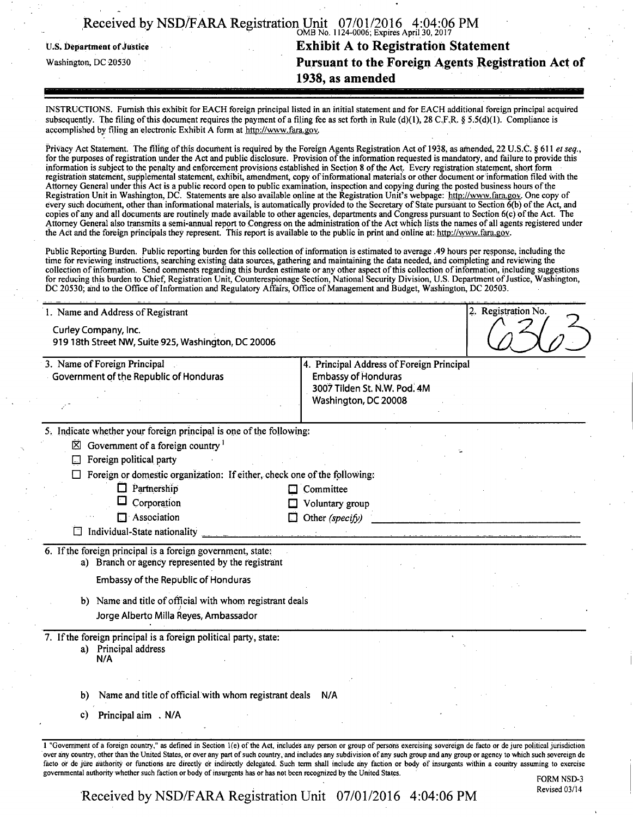|                                   | Received by NSD/FARA Registration Unit 07/01/2016 4:04:06 PM |
|-----------------------------------|--------------------------------------------------------------|
| <b>U.S. Department of Justice</b> | <b>Exhibit A to Registration Statement</b>                   |
| Washington, DC 20530              | Pursuant to the Foreign Agents Registration Act of           |
|                                   | 1938, as amended                                             |

INSTRUCTIONS. Furnish this exhibit for EACH foreign principal listed in an initial statement and for EACH additional foreign principal acquired subsequently. The filing of this document requires the payment of a filing fee as set forth in Rule (d)(1), 28 C.F.R. § 5.5(d)(1). Compliance is accomplished by filing an electronic Exhibit A form at http://www.fara.gov.

Privacy Act Statement. The filing of this document is required by the Foreign Agents Registration Act of 1938, as amended, 22 U.S.C. § 611 et seq., for the purposes of registration under the Act and public disclosure. Provision of the information requested is mandatory, and failure to provide this information is subject to the penalty and enforcement provisions established in Section 8 of the Act. Every registration statement, short form registration statement, supplemental statement, exhibit, amendment, copy of informational materials or other document or information filed with the Attorney General under this Act is a public record open to public examination, inspection and copying during the posted business hours of the Registration Unit in Washington, DC. Statements are also available online at the Registration Unit's webpage: http://www.fara.gov. One copy of every such document, other than informational materials, is automatically provided to the Secretary of State pursuant to Section  $\vec{\delta}$ (b) of the Act, and copies of any and all documents are routinely made available to other agencies, departments and Congress pursuant to Section 6(c) of the Act. The Attorney General also transmits a semi-annual report to Congress on the administration of the Act which lists the names of all agents registered under the Act arid the foreign principals they represent. This report is available to the public in print and online at: http://wwv.fara.gov.

Public Reporting Burden. Public reporting burden for this collection of information is estimated to average .49 hours per response; including the time for reviewing instructions, searching existing data sources, gathering and maintaining the data needed, and completing and reviewing the collection of information. Send comments regarding this burden estimate or any other aspect of this collection of information, including suggestions for reducing this burden to Chief, Registration Unit, Counterespionage Section, National Security Division, U.S. Department of Justice, Washington, DC 20530; and to the Office of Information and Regulatory Affairs, Office of Management and Budget, Washington, DC 20503.

| 1. Name and Address of Registrant                                                                                | 2. Registration No.                                                                                                                                                                                                                                                                                                                                                  |
|------------------------------------------------------------------------------------------------------------------|----------------------------------------------------------------------------------------------------------------------------------------------------------------------------------------------------------------------------------------------------------------------------------------------------------------------------------------------------------------------|
| Curley Company, Inc.<br>919 18th Street NW, Suite 925, Washington, DC 20006                                      |                                                                                                                                                                                                                                                                                                                                                                      |
| 3. Name of Foreign Principal<br>Government of the Republic of Honduras                                           | 4. Principal Address of Foreign Principal<br><b>Embassy of Honduras</b><br>3007 Tilden St. N.W. Pod. 4M<br>Washington, DC 20008                                                                                                                                                                                                                                      |
| 5. Indicate whether your foreign principal is one of the following:                                              |                                                                                                                                                                                                                                                                                                                                                                      |
| $\boxtimes$ Government of a foreign country <sup>1</sup>                                                         |                                                                                                                                                                                                                                                                                                                                                                      |
| Foreign political party<br>$\Box$                                                                                |                                                                                                                                                                                                                                                                                                                                                                      |
| Foreign or domestic organization: If either, check one of the following.                                         |                                                                                                                                                                                                                                                                                                                                                                      |
| $\Box$ Partnership                                                                                               | $\Box$ Committee                                                                                                                                                                                                                                                                                                                                                     |
| Corporation                                                                                                      | Voluntary group                                                                                                                                                                                                                                                                                                                                                      |
| $\Box$ Association                                                                                               | $\Box$ Other (specify)                                                                                                                                                                                                                                                                                                                                               |
| Individual-State nationality<br>ΓĦ                                                                               |                                                                                                                                                                                                                                                                                                                                                                      |
| 6. If the foreign principal is a foreign government, state;<br>a) Branch or agency represented by the registrant |                                                                                                                                                                                                                                                                                                                                                                      |
| <b>Embassy of the Republic of Honduras</b>                                                                       |                                                                                                                                                                                                                                                                                                                                                                      |
| b) Name and title of official with whom registrant deals                                                         |                                                                                                                                                                                                                                                                                                                                                                      |
| Jorge Alberto Milla Reyes, Ambassador                                                                            |                                                                                                                                                                                                                                                                                                                                                                      |
| 7. If the foreign principal is a foreign political party, state:                                                 |                                                                                                                                                                                                                                                                                                                                                                      |
| a) Principal address<br>N/A                                                                                      |                                                                                                                                                                                                                                                                                                                                                                      |
|                                                                                                                  |                                                                                                                                                                                                                                                                                                                                                                      |
| Name and title of official with whom registrant deals<br>b)                                                      | N/A                                                                                                                                                                                                                                                                                                                                                                  |
| Principal aim N/A<br>C)                                                                                          |                                                                                                                                                                                                                                                                                                                                                                      |
|                                                                                                                  |                                                                                                                                                                                                                                                                                                                                                                      |
|                                                                                                                  | 1 "Government of a foreign country," as defined in Section 1(e) of the Act, includes any person or group of persons exercising sovereign de facto or de jure political jurisdiction                                                                                                                                                                                  |
|                                                                                                                  | over any country, other than the United States, or over any part of such country, and includes any subdivision of any such group and any group or agency to which such sovereign de<br>facto or de jure authority or functions are directly or indirectly delegated. Such term shall include any faction or body of insurgents within a country assuming to exercise |

FORM NSD-3 Revised 03/14

Received by NSD/FARA Registration Unit 07/01/2016 4:04:06 PM

governmental authority whether such faction or body of insurgents has or has not been recognized by the United States.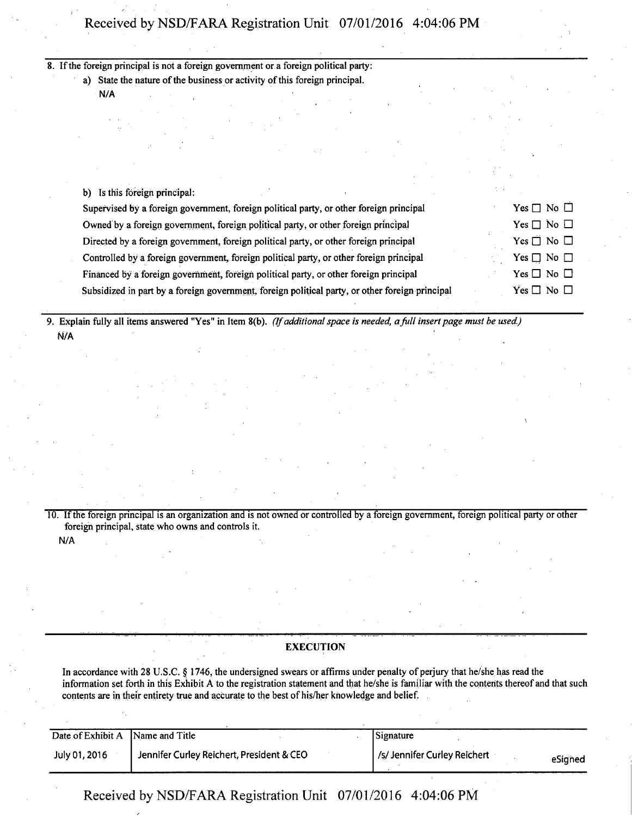# Received by NSD/FARA Registration Unit 07/01/2016 4:04:06 PM

## 8. If the foreign principal is not a foreign government or a foreign political party:

a) State the nature of the business or activity of this foreign principal.

N/A

| b) |  | Is this foreign principal: |  |
|----|--|----------------------------|--|
|----|--|----------------------------|--|

| Supervised by a foreign government, foreign political party, or other foreign principal         | Yes $\Box$ No $\Box$ |
|-------------------------------------------------------------------------------------------------|----------------------|
| Owned by a foreign government, foreign political party, or other foreign principal              | $Yes \Box No \Box$   |
| Directed by a foreign government, foreign political party, or other foreign principal           | Yes $\Box$ No $\Box$ |
| Controlled by a foreign government, foreign political party, or other foreign principal         | Yes $\Box$ No $\Box$ |
| Financed by a foreign government, foreign political party, or other foreign principal           | Yes $\Box$ No $\Box$ |
| Subsidized in part by a foreign government, foreign political party, or other foreign principal | Yes $\Box$ No $\Box$ |

9. Explain fully all items answered "Yes" in Item 8(b). (If additional space is needed, a full insert page must be used.) N/A

10. If the foreign principal is an organization and is not owned or controlled by a foreign government, foreign political party or other foreign principal, state who owns and controls it. N/A

### EXECUTION

In accordance with 28 U.S.C. § 1746, the undersigned swears or affirms under penalty of perjury that he/she has read the information set forth in this Exhibit A to the registration statement and that he/she is familiar with the contents thereof and that such contents are in their entirety true and accurate to the best of his/her knowledge and belief.

| Date of Exhibit A Name and Title |                                           | Signature                               |
|----------------------------------|-------------------------------------------|-----------------------------------------|
| July 01, 2016                    | Jennifer Curley Reichert, President & CEO | /s/ Jennifer Curley Reichert<br>eSigned |

Received by NSD/FARA Registration Unit 07/01/2016 4:04:06 PM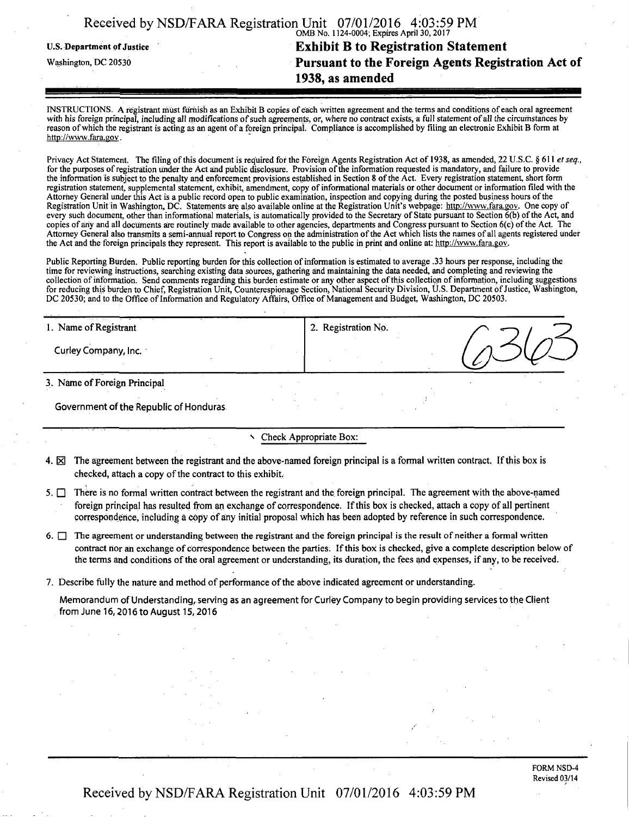|                            | Received by NSD/FARA Registration Unit 07/01/2016 4:03:59 PM |
|----------------------------|--------------------------------------------------------------|
|                            | OMB No. 1124-0004; Expires April 30, 2017                    |
| U.S. Department of Justice | <b>Exhibit B to Registration Statement</b>                   |
| Washington, DC 20530       | Pursuant to the Foreign Agents Registration Act of           |
|                            | 1938, as amended                                             |
|                            |                                                              |

INSTRUCTIONS. A registrant must furnish as an Exhibit B copies of each written agreement and the terms and conditions of each oral agreement with his foreign principal, including all modifications of such agreements, or, where no contract exists, a full statement of all the circumstances by reason of which the registrant is acting as an agent of a foreign principal. Compliance is accomplished by filing an electronic Exhibit B form at http://wvvw.fara.gov.

Privacy Act Statement. The filing of this document is required for the Foreign Agents Registration Act of 1938, as amended, 22 U.S.C. § 611 et seq., for the purposes of registration under the Act arid public disclosure. Provision of the information requested is mandatory, and failure to provide the information is subject to the penalty and enforcement provisions established in Section 8 of the Act. Every registration statement, short form registration statement, supplemental statement, exhibit, amendment, copy of inforrnational materials or other document or information filed with the Attorney General under this Act is a public record open to public examination, inspection and copying during the posted business hours of the Registration Unit in Washington, DC. Statements are also available online at the Registration Unit's webpage: http://www.fara.gov. One copy of every such document, other than informational materials, is automatically provided to the Secretary of State pursuant to Section  $\vec{6}$ (b) of the Act, and copies of any and all documents are routinely made available to other agencies, departments and Congress pursuant to Section 6(c) of the Act, The Attorney General also transmits a semi-annual report to Congress on the administration of the Act which lists the names of all agents registered under the Act and the foreign principals they represent. This report is available to the public in print and online at: http://www.fara.gov.

Public Reporting Burden. Public reporting burden for this collection of information is estimated to average .33 hours per response, including the time for reviewing instructions, searching existing data sources, gathering and maintaining the data needed, and completing and reviewing the collection of information. Send comments regarding this burden estimate or any other aspect of this collection of information, including suggestions for reducing this burden to Chief, Registration Unit, Counterespionage Section, National Security Division, U.S. Department of Justice, Washington, DC 20530; and to the Office of Information and Regulatory Affairs, Office of Management and Budget, Washington, DC 20503.

| .<br>1. Name of Registrant | 2. Registration No. |  |
|----------------------------|---------------------|--|
| Curley Company, Inc.       |                     |  |
| .                          |                     |  |

3 . Name of Foreign Principal

Government of the Republic of Honduras

#### Check Appropriate Box:

- 4.  $\boxtimes$  The agreement between the registrant and the above-named foreign principal is a formal written contract. If this box is checked, attach a copy of the contract to this exhibit,
- 5.  $\Box$  There is no formal written contract between the registrant and the foreign principal. The agreement with the above-named foreign principal has resulted from an exchange of correspondence. If this box is checked, attach a copy of all pertinent correspondence, including a copy of any initial proposal which has been adopted by reference in such correspondence.
- 6.  $\Box$  The agreement or understanding between the registrant and the foreign principal is the result of neither a formal written contract nor an exchange of correspondence between the parties. If this box is checked, give a complete description below of the terms and conditions of the oral agreement or understanding, its duration, the fees and expenses, if any, to be received.
- 7. Describe fully the nature and method of performance of the above indicated agreement or understanding.

Memorandum of Understanding, serving as an agreement for Curley Company to begin providing services to the Client from June 16,2016 to August 15,2016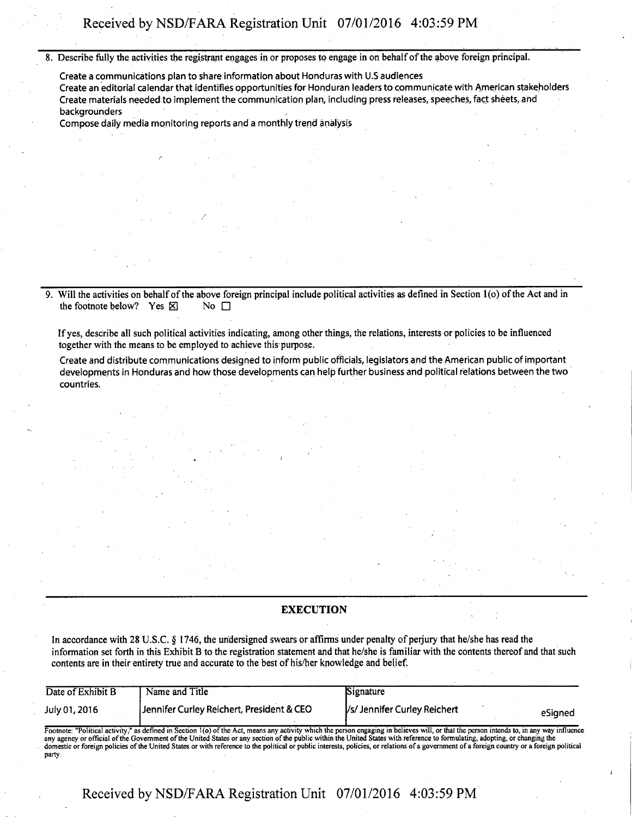**8. Describe fully the activities the registrant engages in or proposes to engage in on behalf of the above foreign principal.** 

**Create a communications plan to share information about Honduras with U.S audiences**  Create an editorial calendar that identifies opportunities for Honduran leaders to communicate with American stakeholders Create materials needed to implement the communication plan, including press releases, speeches, fact sheets, and backgrounders

Compose daily media monitoring reports and a monthly trend analysis

9. Will the activities on behalf of the above foreign principal include political activities as defined in Section 1(o) of the Act and in the footnote below? Yes  $\boxtimes$ the footnote below? Yes  $\boxtimes$ 

**If yes, describe all such political activities indicating, among other things, the relations, interests or policies to be influenced together with the means to be employed to achieve this purpose.** 

Create and distribute communications designed to inform public officials, legislators and the American public of important developments in Honduras and how those developments can help further business and political relations between the two countries.

#### **EXECUTION**

**In accordance with 28 U.S.C. § 1746, the undersigned swears or affirms under penalty of perjury that he/she has read the information set forth in this Exhibit B to the registration statement and that he/she is familiar with the contents thereof and that such contents are in their entirety true and accurate to the best of his/her knowledge and belief.** 

| Date of Exhibit B                                                                                                                                                                                                                                                                                                                                                         | Name and Title                            | Signature                              |  |
|---------------------------------------------------------------------------------------------------------------------------------------------------------------------------------------------------------------------------------------------------------------------------------------------------------------------------------------------------------------------------|-------------------------------------------|----------------------------------------|--|
| July 01, 2016                                                                                                                                                                                                                                                                                                                                                             | Jennifer Curley Reichert, President & CEO | Vs/Jennifer Curley Reichert<br>eSianed |  |
| Footnote: "Political activity," as defined in Section 1(0) of the Act, means any activity which the person engaging in believes will, or that the person intends to, in any way influence<br>any agency or official of the Government of the United States or any section of the public within the United States with reference to formulating, adopting, or changing the |                                           |                                        |  |

any agency or official of the Government of the United States or any section of the public within the United States with reference to formulating, adopting, or changing the domestic or foreign policies of the United States party.

**Received by NSD/FARA Registration Unit 07/01/2016 4:03:59 PM**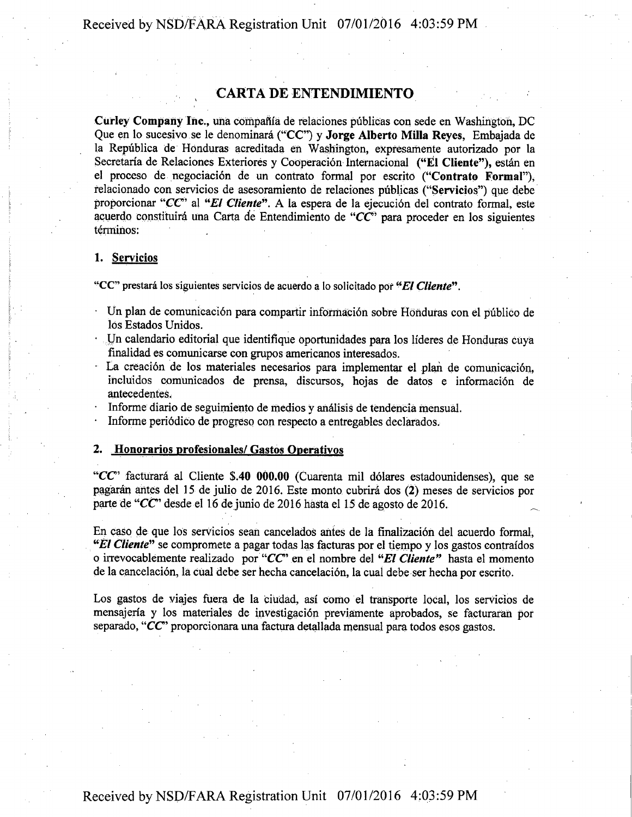Received by NSD/FARA Registration Unit 07/01/2016 4:03:59 PM

## **CARTA DE ENTENDIMIENTO**

Curley Company Inc., una compañía de relaciones públicas con sede en Washington, DC Que en lo sucesivo se le denominará ("CC") y Jorge Alberto Milla Reyes, Embajada de la Republica de Honduras aereditada en Washington, expresamente autorizado por la Secretaría de Relaciones Exteriores y Cooperación Internacional ("El Cliente"), están en el proceso de negociación de un contrato formal por escrito ("Contrato Formal"), relacionado con servicios de asesoramiento de relaciones publicas ("Servicios") que debe proporcionar " $CC$ " al "El Cliente". A la espera de la ejecución del contrato formal, este acuerdo constituirá una Carta de Entendimiento de " $CC$ " para proceder en los siguientes términos:

## **1. Servicios**

*"CC" prestara los siguientes servicios de acuerdo a Io solicitado por "El Cliente".* 

- Un plan de comunicacion para compartir informaci6n sobre Honduras con el publico de los Estados Unidos.
- Un calendario editorial que identifique oportunidades para los líderes de Honduras cuya finalidad es comunicarse con grupos americanos interesados.
- La creación de los materiales necesarios para implementar el plan de comunicación, incluidos comunicados de prensa, discursos, hojas de datos e información de antecedentes.
- Informe diario de seguimiento de medios y analisis de tendencia mensual.
- Informe periodico de progreso con respecto a entregables declarados.

#### **2. Honorarios profesionales/ Gastos Qperativos**

" $CC$ " facturará al Cliente \$.40 000.00 (Cuarenta mil dólares estadounidenses), que se pagaran antes del 15 de julio de 2016. Este monto cubrird dos (2) meses de servicios por parte de "CC desde el 16 dejunio de 2016 hasta el 15 de agosto de 2016.

En caso de que los servicios sean cancelados antes de la finalización del acuerdo formal, "El Cliente" se compromete a pagar todas las facturas por el tiempo y los gastos contraídos o irrevocablemente realizado por "CC" en el nombre del "El Cliente" hasta el momento de la cancelación, la cual debe ser hecha cancelación, la cual debe ser hecha por escrito.

Los gastos de viajes fuera de la ciudad, asi como el transporte local, los servicios de mensajeria y los materiales de investigaci6n previamente aprobados, se facturaran por separado, "CC" proporcionara una factura detallada mensual para todos esos gastos.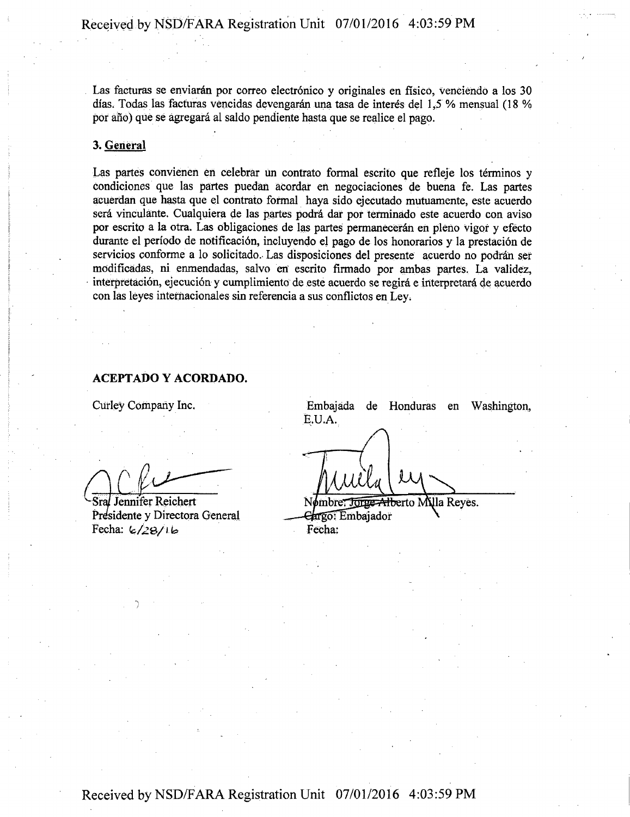Las facturas se enviarán por correo electrónico y originales en físico, venciendo a los 30 dfas. Todas las facturas vencidas dcvcngaran una tasa de interes del 1,5 % mensual (18 % por año) que se agregará al saldo pendiente hasta que se realice el pago.

## 3. General

Las partes convienen en celebrar un contrato formal escrito que refleje los términos y condiciones que las partes puedan acordar en negociaciones de buena fe. Las partes acuerdan que hasta que el contrato formal haya sido ejeeutado mutuamente, este acuerdo será vinculante. Cualquiera de las partes podrá dar por terminado este acuerdo con aviso por escrito a la otra. Las obligaciones de las partes permaneceran en pleno vigor y efecto durante el período de notificación, incluyendo el pago de los honorarios y la prestación de servicios conforme a lo solicitado. Las disposiciones del presente acuerdo no podrán ser mOdificadas, ni enmendadas, salvo en' escrito firmado por ambas partes. La validez, interpretacion, ejecucion y cumplimiento de este acuerdo se regira e interpretard de acuerdo con las leyes internacionales sin referencia a sus conflictos en Ley.

## ACEPTADO Y ACORDADO.

Curley Company Inc.

**1** 

Stal Jennifer Reichert Presidente y Directora General  $Fecha: 6/28/16$ 

Embajada de Honduras en Washington, E.U.A.

Nombre<del>: Jonge Albe</del>rto Milla Reyes. Gargo: Embajador Fecha: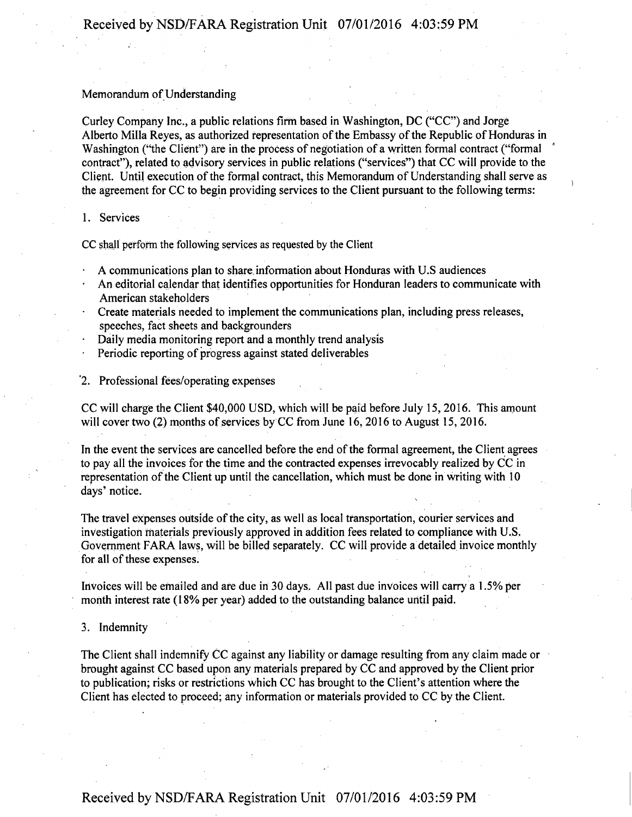## Memorandum of Understanding

Curley Company Inc., a public relations firm based in Washington, DC ("CC") and Jorge Alberto Milla Reyes, as authorized representation of the Embassy of the Republic of Honduras in Washington ("the Client") are in the process of negotiation of a written formal contract ("formal contract"), related to advisory services in public relations ("services") that CC will provide to the Client. Until execution of the formal contract, this Memorandum of Understanding shall serve as the agreement for CC to begin providing services to the Client pursuant to the following terms:

## 1. Services

CC shall perform the following services as requested by the Client

- A communications plan to share, information about Honduras with U.S audiences
- An editorial calendar that identifies opportunities for Honduran leaders to communicate with American stakeholders
- Create materials needed to implement the communications plan, including press releases, speeches, fact sheets and backgrounders
- Daily media monitoring report and a monthly trend analysis
- Periodic reporting of progress against stated deliverables
- '2. Professional fees/operating expenses

CC will charge the Client \$40,000 USD, which will be paid before July 15, 2016. This amount will cover two (2) months of services by CC from June 16, 2016 to August 15, 2016.

In the event the services are cancelled before the end of the formal agreement, the Client agrees to pay all the invoices for the time and the contracted expenses irrevocably realized by CC in representation of the Client up until the cancellation, which must be done in writing with 10 days' notice.

The travel expenses outside of the city, as well as local transportation, courier services and investigation materials previously approved in addition fees related to compliance with U.S. Government FARA laws, will be billed separately. CC will provide a detailed invoice monthly for all of these expenses.

Invoices will be emailed and are due in 30 days. All past due invoices will carry a 1.5% per month interest rate (18% per year) added to the outstanding balance until paid.

3. Indemnity

The Client shall indemnify CC against any liability or damage resulting from any claim made or brought against CC based upon any materials prepared by CC and approved by the Client prior to publication; risks or restrictions which CC has brought to the Client's attention where the Client has elected to proceed; any information or materials provided to CC by the Client.